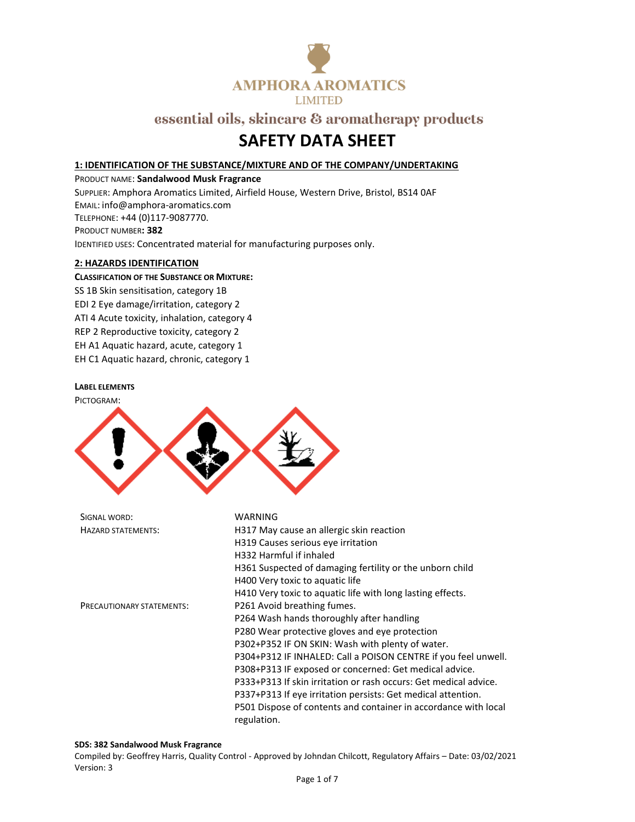

## **SAFETY DATA SHEET**

#### **1: IDENTIFICATION OF THE SUBSTANCE/MIXTURE AND OF THE COMPANY/UNDERTAKING**

PRODUCT NAME: **Sandalwood Musk Fragrance** SUPPLIER: Amphora Aromatics Limited, Airfield House, Western Drive, Bristol, BS14 0AF EMAIL: info@amphora-aromatics.com TELEPHONE: +44 (0)117-9087770. PRODUCT NUMBER**: 382** IDENTIFIED USES: Concentrated material for manufacturing purposes only.

#### **2: HAZARDS IDENTIFICATION**

#### **CLASSIFICATION OF THE SUBSTANCE OR MIXTURE:**

SS 1B Skin sensitisation, category 1B EDI 2 Eye damage/irritation, category 2 ATI 4 Acute toxicity, inhalation, category 4 REP 2 Reproductive toxicity, category 2 EH A1 Aquatic hazard, acute, category 1 EH C1 Aquatic hazard, chronic, category 1

#### **LABEL ELEMENTS**

PICTOGRAM:



| SIGNAL WORD:                     | <b>WARNING</b>                                                                 |
|----------------------------------|--------------------------------------------------------------------------------|
| <b>HAZARD STATEMENTS:</b>        | H317 May cause an allergic skin reaction                                       |
|                                  | H319 Causes serious eye irritation                                             |
|                                  | H332 Harmful if inhaled                                                        |
|                                  | H361 Suspected of damaging fertility or the unborn child                       |
|                                  | H400 Very toxic to aquatic life                                                |
|                                  | H410 Very toxic to aquatic life with long lasting effects.                     |
| <b>PRECAUTIONARY STATEMENTS:</b> | P261 Avoid breathing fumes.                                                    |
|                                  | P264 Wash hands thoroughly after handling                                      |
|                                  | P280 Wear protective gloves and eye protection                                 |
|                                  | P302+P352 IF ON SKIN: Wash with plenty of water.                               |
|                                  | P304+P312 IF INHALED: Call a POISON CENTRE if you feel unwell.                 |
|                                  | P308+P313 IF exposed or concerned: Get medical advice.                         |
|                                  | P333+P313 If skin irritation or rash occurs: Get medical advice.               |
|                                  | P337+P313 If eye irritation persists: Get medical attention.                   |
|                                  | P501 Dispose of contents and container in accordance with local<br>regulation. |
|                                  |                                                                                |

#### **SDS: 382 Sandalwood Musk Fragrance**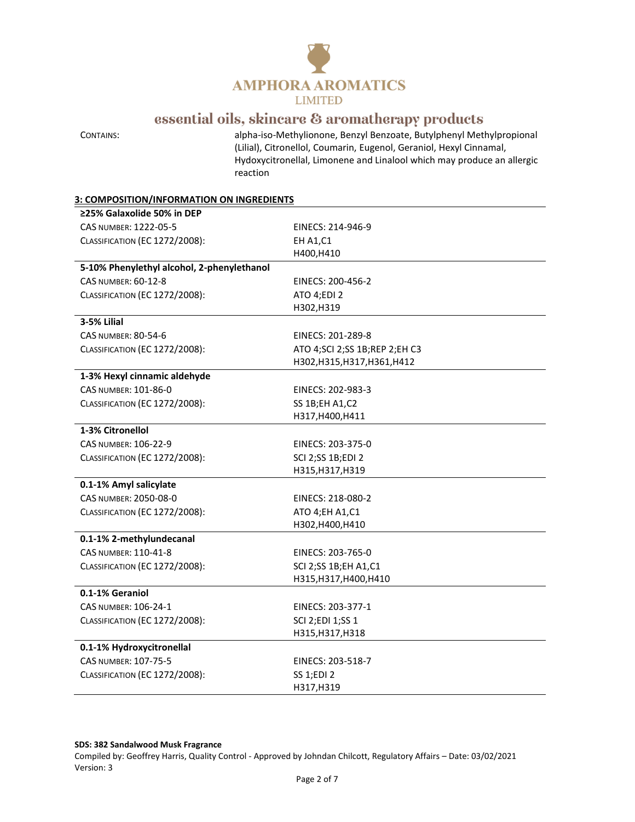

CONTAINS: alpha-iso-Methylionone, Benzyl Benzoate, Butylphenyl Methylpropional (Lilial), Citronellol, Coumarin, Eugenol, Geraniol, Hexyl Cinnamal, Hydoxycitronellal, Limonene and Linalool which may produce an allergic reaction

#### **3: COMPOSITION/INFORMATION ON INGREDIENTS**

| ≥25% Galaxolide 50% in DEP                 |                                   |
|--------------------------------------------|-----------------------------------|
| CAS NUMBER: 1222-05-5                      | EINECS: 214-946-9                 |
| CLASSIFICATION (EC 1272/2008):             | <b>EH A1, C1</b>                  |
|                                            | H400, H410                        |
| 5-10% Phenylethyl alcohol, 2-phenylethanol |                                   |
| <b>CAS NUMBER: 60-12-8</b>                 | EINECS: 200-456-2                 |
| <b>CLASSIFICATION (EC 1272/2008):</b>      | ATO 4;EDI 2                       |
|                                            | H302, H319                        |
| 3-5% Lilial                                |                                   |
| <b>CAS NUMBER: 80-54-6</b>                 | EINECS: 201-289-8                 |
| CLASSIFICATION (EC 1272/2008):             | ATO 4; SCI 2; SS 1B; REP 2; EH C3 |
|                                            | H302, H315, H317, H361, H412      |
| 1-3% Hexyl cinnamic aldehyde               |                                   |
| CAS NUMBER: 101-86-0                       | EINECS: 202-983-3                 |
| CLASSIFICATION (EC 1272/2008):             | <b>SS 1B;EH A1,C2</b>             |
|                                            | H317, H400, H411                  |
| 1-3% Citronellol                           |                                   |
| CAS NUMBER: 106-22-9                       | EINECS: 203-375-0                 |
| CLASSIFICATION (EC 1272/2008):             | SCI 2;SS 1B;EDI 2                 |
|                                            | H315, H317, H319                  |
| 0.1-1% Amyl salicylate                     |                                   |
| CAS NUMBER: 2050-08-0                      | EINECS: 218-080-2                 |
| <b>CLASSIFICATION (EC 1272/2008):</b>      | ATO 4;EH A1,C1                    |
|                                            | H302, H400, H410                  |
| 0.1-1% 2-methylundecanal                   |                                   |
| CAS NUMBER: 110-41-8                       | EINECS: 203-765-0                 |
| CLASSIFICATION (EC 1272/2008):             | SCI 2;SS 1B;EH A1,C1              |
|                                            | H315, H317, H400, H410            |
| 0.1-1% Geraniol                            |                                   |
| CAS NUMBER: 106-24-1                       | EINECS: 203-377-1                 |
| CLASSIFICATION (EC 1272/2008):             | SCI 2;EDI 1;SS 1                  |
|                                            | H315, H317, H318                  |
| 0.1-1% Hydroxycitronellal                  |                                   |
| <b>CAS NUMBER: 107-75-5</b>                | EINECS: 203-518-7                 |
| CLASSIFICATION (EC 1272/2008):             | SS 1;EDI 2                        |
|                                            | H317, H319                        |

#### **SDS: 382 Sandalwood Musk Fragrance**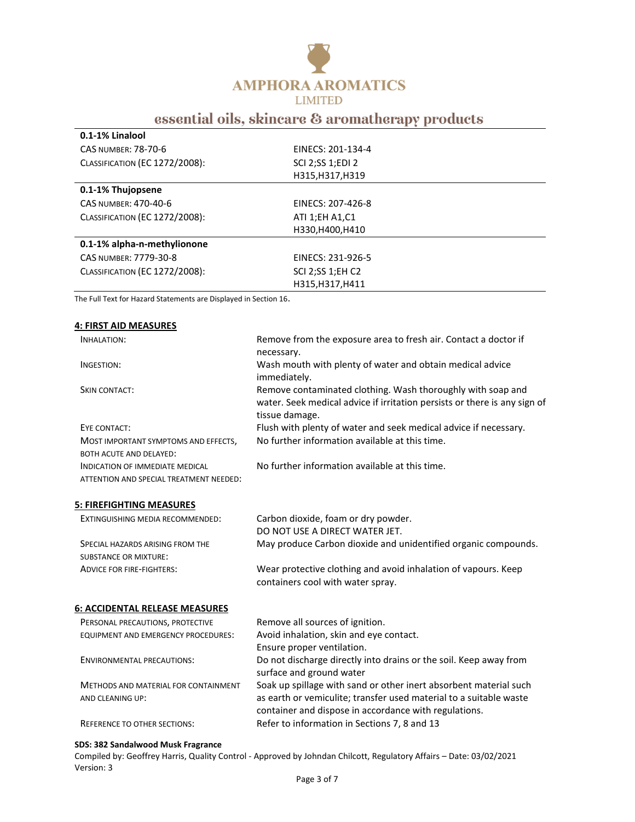

| 0.1-1% Linalool                       |                   |
|---------------------------------------|-------------------|
| <b>CAS NUMBER: 78-70-6</b>            | EINECS: 201-134-4 |
| <b>CLASSIFICATION (EC 1272/2008):</b> | SCI 2;SS 1;EDI 2  |
|                                       | H315, H317, H319  |
| 0.1-1% Thujopsene                     |                   |
| CAS NUMBER: 470-40-6                  | EINECS: 207-426-8 |
| <b>CLASSIFICATION (EC 1272/2008):</b> | ATI 1;EH A1,C1    |
|                                       | H330, H400, H410  |
| 0.1-1% alpha-n-methylionone           |                   |
| CAS NUMBER: 7779-30-8                 | EINECS: 231-926-5 |
| CLASSIFICATION (EC 1272/2008):        | SCI 2;SS 1;EH C2  |
|                                       | H315.H317.H411    |

The Full Text for Hazard Statements are Displayed in Section 16.

| <b>4: FIRST AID MEASURES</b>                                                      |                                                                                                                                                                                                  |
|-----------------------------------------------------------------------------------|--------------------------------------------------------------------------------------------------------------------------------------------------------------------------------------------------|
| <b>INHALATION:</b>                                                                | Remove from the exposure area to fresh air. Contact a doctor if<br>necessary.                                                                                                                    |
| INGESTION:                                                                        | Wash mouth with plenty of water and obtain medical advice<br>immediately.                                                                                                                        |
| <b>SKIN CONTACT:</b>                                                              | Remove contaminated clothing. Wash thoroughly with soap and<br>water. Seek medical advice if irritation persists or there is any sign of<br>tissue damage.                                       |
| EYE CONTACT:                                                                      | Flush with plenty of water and seek medical advice if necessary.                                                                                                                                 |
| MOST IMPORTANT SYMPTOMS AND EFFECTS,<br><b>BOTH ACUTE AND DELAYED:</b>            | No further information available at this time.                                                                                                                                                   |
| <b>INDICATION OF IMMEDIATE MEDICAL</b><br>ATTENTION AND SPECIAL TREATMENT NEEDED: | No further information available at this time.                                                                                                                                                   |
| <b>5: FIREFIGHTING MEASURES</b>                                                   |                                                                                                                                                                                                  |
| EXTINGUISHING MEDIA RECOMMENDED:                                                  | Carbon dioxide, foam or dry powder.<br>DO NOT USE A DIRECT WATER JET.                                                                                                                            |
| SPECIAL HAZARDS ARISING FROM THE                                                  | May produce Carbon dioxide and unidentified organic compounds.                                                                                                                                   |
| <b>SUBSTANCE OR MIXTURE:</b>                                                      |                                                                                                                                                                                                  |
| <b>ADVICE FOR FIRE-FIGHTERS:</b>                                                  | Wear protective clothing and avoid inhalation of vapours. Keep<br>containers cool with water spray.                                                                                              |
| <b>6: ACCIDENTAL RELEASE MEASURES</b>                                             |                                                                                                                                                                                                  |
| PERSONAL PRECAUTIONS, PROTECTIVE                                                  | Remove all sources of ignition.                                                                                                                                                                  |
| <b>EQUIPMENT AND EMERGENCY PROCEDURES:</b>                                        | Avoid inhalation, skin and eye contact.                                                                                                                                                          |
|                                                                                   | Ensure proper ventilation.                                                                                                                                                                       |
| <b>ENVIRONMENTAL PRECAUTIONS:</b>                                                 | Do not discharge directly into drains or the soil. Keep away from<br>surface and ground water                                                                                                    |
| <b>METHODS AND MATERIAL FOR CONTAINMENT</b><br>AND CLEANING UP:                   | Soak up spillage with sand or other inert absorbent material such<br>as earth or vemiculite; transfer used material to a suitable waste<br>container and dispose in accordance with regulations. |
| <b>REFERENCE TO OTHER SECTIONS:</b>                                               | Refer to information in Sections 7, 8 and 13                                                                                                                                                     |

### **SDS: 382 Sandalwood Musk Fragrance**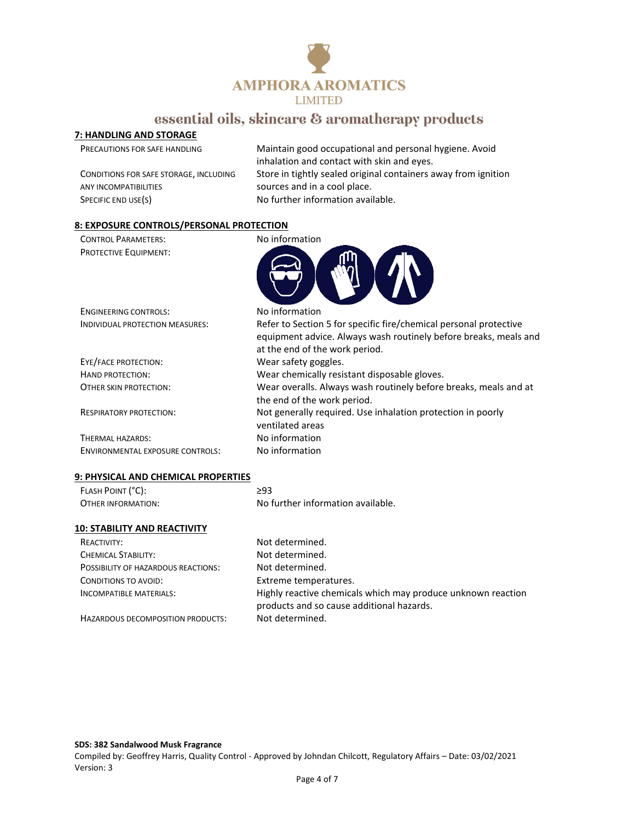

### **7: HANDLING AND STORAGE**

| PRECAUTIONS FOR SAFE HANDLING          | Maintain good occupational and personal hygiene. Avoid<br>inhalation and contact with skin and eyes. |
|----------------------------------------|------------------------------------------------------------------------------------------------------|
| CONDITIONS FOR SAFE STORAGE, INCLUDING | Store in tightly sealed original containers away from ignition                                       |
| ANY INCOMPATIBILITIES                  | sources and in a cool place.                                                                         |
| SPECIFIC END USE(S)                    | No further information available.                                                                    |
|                                        |                                                                                                      |

#### **8: EXPOSURE CONTROLS/PERSONAL PROTECTION**

| <b>CONTROL PARAMETERS:</b>              | No information                                                                                                                                                          |
|-----------------------------------------|-------------------------------------------------------------------------------------------------------------------------------------------------------------------------|
| <b>PROTECTIVE EQUIPMENT:</b>            |                                                                                                                                                                         |
| <b>ENGINEERING CONTROLS:</b>            | No information                                                                                                                                                          |
| INDIVIDUAL PROTECTION MEASURES:         | Refer to Section 5 for specific fire/chemical personal protective<br>equipment advice. Always wash routinely before breaks, meals and<br>at the end of the work period. |
| EYE/FACE PROTECTION:                    | Wear safety goggles.                                                                                                                                                    |
| HAND PROTECTION:                        | Wear chemically resistant disposable gloves.                                                                                                                            |
| OTHER SKIN PROTECTION:                  | Wear overalls. Always wash routinely before breaks, meals and at<br>the end of the work period.                                                                         |
| <b>RESPIRATORY PROTECTION:</b>          | Not generally required. Use inhalation protection in poorly<br>ventilated areas                                                                                         |
| THERMAL HAZARDS:                        | No information                                                                                                                                                          |
| <b>ENVIRONMENTAL EXPOSURE CONTROLS:</b> | No information                                                                                                                                                          |
| 9: PHYSICAL AND CHEMICAL PROPERTIES     |                                                                                                                                                                         |
| FLASH POINT (°C):                       | $\geq$ 93                                                                                                                                                               |
| OTHER INFORMATION:                      | No further information available.                                                                                                                                       |
| <b>10: STABILITY AND REACTIVITY</b>     |                                                                                                                                                                         |
| <b>REACTIVITY:</b>                      | Not determined.                                                                                                                                                         |
| CHEMICAL STABILITY:                     | Not determined.                                                                                                                                                         |

POSSIBILITY OF HAZARDOUS REACTIONS: Not determined. CONDITIONS TO AVOID: Extreme temperatures.

HAZARDOUS DECOMPOSITION PRODUCTS: Not determined.

INCOMPATIBLE MATERIALS: Highly reactive chemicals which may produce unknown reaction products and so cause additional hazards.

#### **SDS: 382 Sandalwood Musk Fragrance**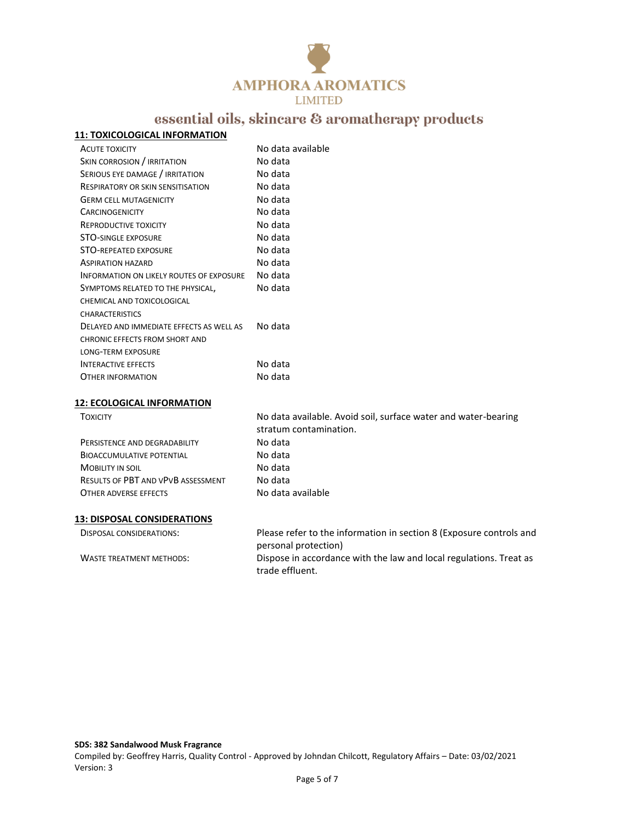

#### **11: TOXICOLOGICAL INFORMATION**

| <b>ACUTE TOXICITY</b>                    | No data available |
|------------------------------------------|-------------------|
| SKIN CORROSION / IRRITATION              | No data           |
| SERIOUS EYE DAMAGE / IRRITATION          | No data           |
| RESPIRATORY OR SKIN SENSITISATION        | No data           |
| <b>GERM CELL MUTAGENICITY</b>            | No data           |
| <b>CARCINOGENICITY</b>                   | No data           |
| REPRODUCTIVE TOXICITY                    | No data           |
| <b>STO-SINGLE EXPOSURE</b>               | No data           |
| <b>STO-REPEATED EXPOSURE</b>             | No data           |
| <b>ASPIRATION HAZARD</b>                 | No data           |
| INFORMATION ON LIKELY ROUTES OF EXPOSURE | No data           |
| SYMPTOMS RELATED TO THE PHYSICAL,        | No data           |
| CHEMICAL AND TOXICOLOGICAL               |                   |
| <b>CHARACTERISTICS</b>                   |                   |
| DELAYED AND IMMEDIATE EFFECTS AS WELL AS | No data           |
| CHRONIC EFFECTS FROM SHORT AND           |                   |
| <b>LONG-TERM EXPOSURE</b>                |                   |
| <b>INTERACTIVE EFFECTS</b>               | No data           |
| OTHER INFORMATION                        | No data           |
|                                          |                   |

#### **12: ECOLOGICAL INFORMATION**

| <b>TOXICITY</b>                           | No data available. Avoid soil, surface water and water-bearing<br>stratum contamination. |  |
|-------------------------------------------|------------------------------------------------------------------------------------------|--|
| PERSISTENCE AND DEGRADABILITY             | No data                                                                                  |  |
| <b>BIOACCUMULATIVE POTENTIAL</b>          | No data                                                                                  |  |
| <b>MOBILITY IN SOIL</b>                   | No data                                                                                  |  |
| <b>RESULTS OF PBT AND VPVB ASSESSMENT</b> | No data                                                                                  |  |
| OTHER ADVERSE EFFECTS                     | No data available                                                                        |  |
| <b>13: DISPOSAL CONSIDERATIONS</b>        |                                                                                          |  |
| DISPOSAL CONSIDERATIONS:                  | Please refer to the information in section 8 (Exposure controls and                      |  |

personal protection) WASTE TREATMENT METHODS: Dispose in accordance with the law and local regulations. Treat as trade effluent.

**SDS: 382 Sandalwood Musk Fragrance**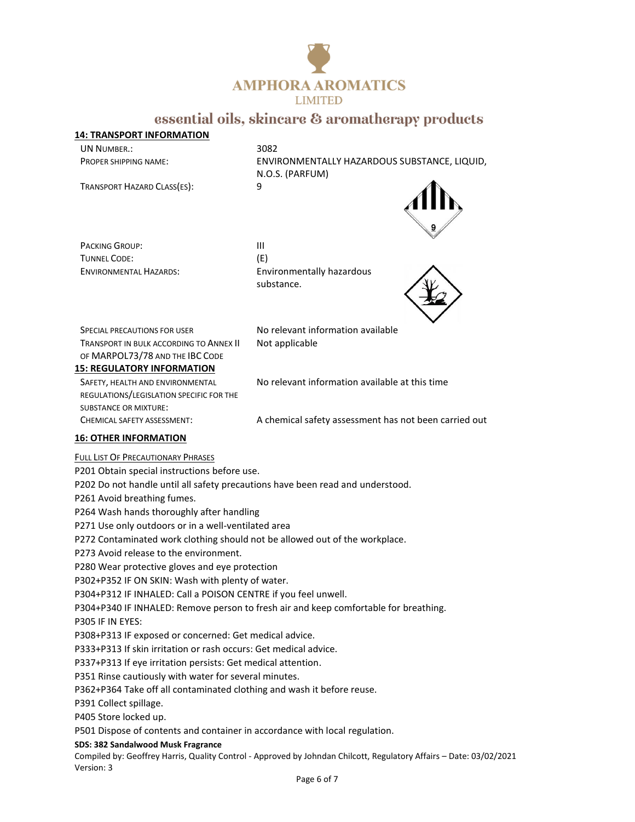

#### **14: TRANSPORT INFORMATION** UN NUMBER.: 3082

TRANSPORT HAZARD CLASS(ES): 9

PROPER SHIPPING NAME: ENVIRONMENTALLY HAZARDOUS SUBSTANCE, LIQUID, N.O.S. (PARFUM)



PACKING GROUP: III TUNNEL CODE: (E)

ENVIRONMENTAL HAZARDS: Environmentally hazardous substance.



SPECIAL PRECAUTIONS FOR USER No relevant information available TRANSPORT IN BULK ACCORDING TO ANNEX II OF MARPOL73/78 AND THE IBC CODE

Not applicable

### **15: REGULATORY INFORMATION**

SAFETY, HEALTH AND ENVIRONMENTAL REGULATIONS/LEGISLATION SPECIFIC FOR THE SUBSTANCE OR MIXTURE: CHEMICAL SAFETY ASSESSMENT: A chemical safety assessment has not been carried out

No relevant information available at this time

#### **16: OTHER INFORMATION**

#### FULL LIST OF PRECAUTIONARY PHRASES

P201 Obtain special instructions before use.

P202 Do not handle until all safety precautions have been read and understood.

P261 Avoid breathing fumes.

P264 Wash hands thoroughly after handling

P271 Use only outdoors or in a well-ventilated area

P272 Contaminated work clothing should not be allowed out of the workplace.

P273 Avoid release to the environment.

P280 Wear protective gloves and eye protection

P302+P352 IF ON SKIN: Wash with plenty of water.

P304+P312 IF INHALED: Call a POISON CENTRE if you feel unwell.

P304+P340 IF INHALED: Remove person to fresh air and keep comfortable for breathing.

P305 IF IN EYES:

P308+P313 IF exposed or concerned: Get medical advice.

P333+P313 If skin irritation or rash occurs: Get medical advice.

P337+P313 If eye irritation persists: Get medical attention.

P351 Rinse cautiously with water for several minutes.

P362+P364 Take off all contaminated clothing and wash it before reuse.

P391 Collect spillage.

P405 Store locked up.

P501 Dispose of contents and container in accordance with local regulation.

**SDS: 382 Sandalwood Musk Fragrance**